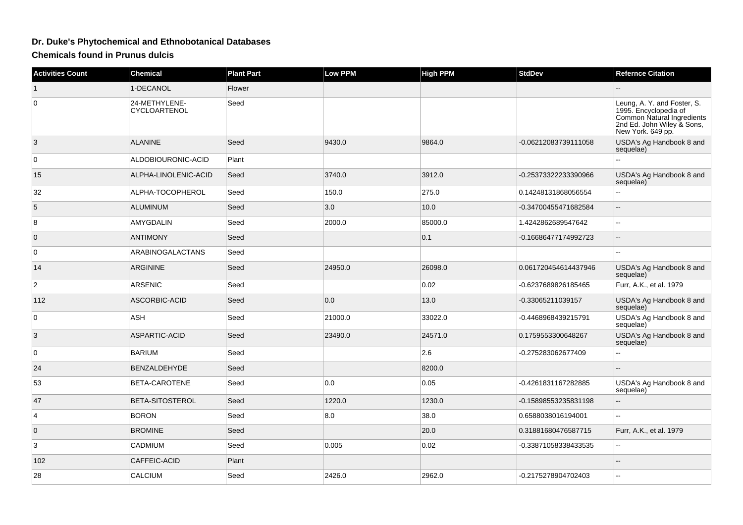## **Dr. Duke's Phytochemical and Ethnobotanical Databases**

**Chemicals found in Prunus dulcis**

| <b>Activities Count</b> | <b>Chemical</b>               | <b>Plant Part</b> | <b>Low PPM</b> | <b>High PPM</b> | <b>StdDev</b>        | <b>Refernce Citation</b>                                                                                                              |
|-------------------------|-------------------------------|-------------------|----------------|-----------------|----------------------|---------------------------------------------------------------------------------------------------------------------------------------|
| $\mathbf{1}$            | 1-DECANOL                     | Flower            |                |                 |                      |                                                                                                                                       |
| $\mathbf 0$             | 24-METHYLENE-<br>CYCLOARTENOL | Seed              |                |                 |                      | Leung, A. Y. and Foster, S.<br>1995. Encyclopedia of<br>Common Natural Ingredients<br>2nd Ed. John Wiley & Sons,<br>New York. 649 pp. |
| 3                       | <b>ALANINE</b>                | Seed              | 9430.0         | 9864.0          | -0.06212083739111058 | USDA's Ag Handbook 8 and<br>sequelae)                                                                                                 |
| $\mathbf 0$             | ALDOBIOURONIC-ACID            | Plant             |                |                 |                      | ٠.                                                                                                                                    |
| 15                      | ALPHA-LINOLENIC-ACID          | Seed              | 3740.0         | 3912.0          | -0.25373322233390966 | USDA's Ag Handbook 8 and<br>sequelae)                                                                                                 |
| 32                      | ALPHA-TOCOPHEROL              | Seed              | 150.0          | 275.0           | 0.14248131868056554  | ٠.                                                                                                                                    |
| 5                       | <b>ALUMINUM</b>               | Seed              | 3.0            | 10.0            | -0.34700455471682584 | --                                                                                                                                    |
| 8                       | AMYGDALIN                     | Seed              | 2000.0         | 85000.0         | 1.4242862689547642   | $\overline{a}$                                                                                                                        |
| $\mathbf 0$             | <b>ANTIMONY</b>               | Seed              |                | 0.1             | -0.16686477174992723 | --                                                                                                                                    |
| $\mathbf 0$             | <b>ARABINOGALACTANS</b>       | Seed              |                |                 |                      | --                                                                                                                                    |
| 14                      | <b>ARGININE</b>               | Seed              | 24950.0        | 26098.0         | 0.061720454614437946 | USDA's Ag Handbook 8 and<br>sequelae)                                                                                                 |
| $\overline{2}$          | <b>ARSENIC</b>                | Seed              |                | 0.02            | -0.6237689826185465  | Furr, A.K., et al. 1979                                                                                                               |
| 112                     | ASCORBIC-ACID                 | Seed              | 0.0            | 13.0            | -0.33065211039157    | USDA's Ag Handbook 8 and<br>sequelae)                                                                                                 |
| 0                       | ASH                           | Seed              | 21000.0        | 33022.0         | -0.4468968439215791  | USDA's Ag Handbook 8 and<br>sequelae)                                                                                                 |
| 3                       | <b>ASPARTIC-ACID</b>          | Seed              | 23490.0        | 24571.0         | 0.1759553300648267   | USDA's Ag Handbook 8 and<br>sequelae)                                                                                                 |
| $\mathbf 0$             | <b>BARIUM</b>                 | Seed              |                | 2.6             | -0.275283062677409   | --                                                                                                                                    |
| 24                      | BENZALDEHYDE                  | Seed              |                | 8200.0          |                      |                                                                                                                                       |
| 53                      | BETA-CAROTENE                 | Seed              | 0.0            | 0.05            | -0.4261831167282885  | USDA's Ag Handbook 8 and<br>sequelae)                                                                                                 |
| 47                      | BETA-SITOSTEROL               | Seed              | 1220.0         | 1230.0          | -0.15898553235831198 | --                                                                                                                                    |
| 4                       | <b>BORON</b>                  | Seed              | 8.0            | 38.0            | 0.6588038016194001   | 44                                                                                                                                    |
| $\mathbf{0}$            | <b>BROMINE</b>                | Seed              |                | 20.0            | 0.31881680476587715  | Furr, A.K., et al. 1979                                                                                                               |
| 3                       | CADMIUM                       | Seed              | 0.005          | 0.02            | -0.33871058338433535 | Ξ.                                                                                                                                    |
| 102                     | CAFFEIC-ACID                  | Plant             |                |                 |                      | --                                                                                                                                    |
| 28                      | CALCIUM                       | Seed              | 2426.0         | 2962.0          | -0.2175278904702403  |                                                                                                                                       |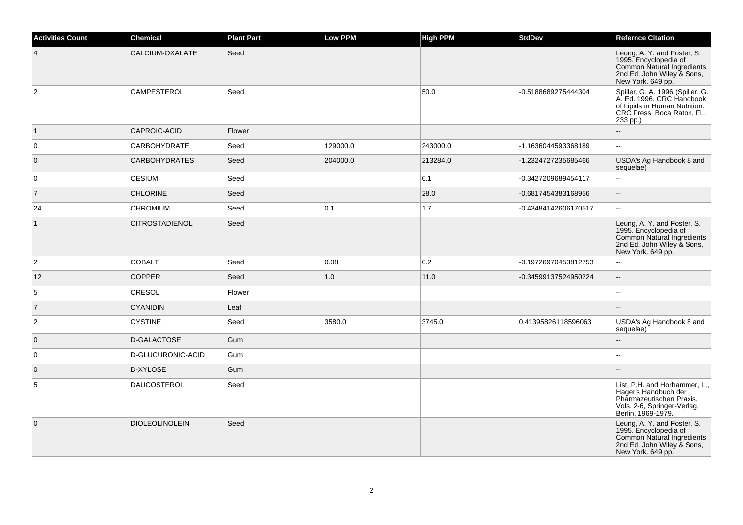| <b>Activities Count</b> | <b>Chemical</b>       | <b>Plant Part</b> | <b>Low PPM</b> | High PPM | <b>StdDev</b>        | <b>Refernce Citation</b>                                                                                                                 |
|-------------------------|-----------------------|-------------------|----------------|----------|----------------------|------------------------------------------------------------------------------------------------------------------------------------------|
| $\overline{4}$          | CALCIUM-OXALATE       | Seed              |                |          |                      | Leung, A. Y. and Foster, S.<br>1995. Encyclopedia of<br>Common Natural Ingredients<br>2nd Ed. John Wiley & Sons,<br>New York. 649 pp.    |
| $\overline{c}$          | <b>CAMPESTEROL</b>    | Seed              |                | 50.0     | -0.5188689275444304  | Spiller, G. A. 1996 (Spiller, G.<br>A. Ed. 1996. CRC Handbook<br>of Lipids in Human Nutrition.<br>CRC Press. Boca Raton, FL.<br>233 pp.) |
| $\vert$ 1               | CAPROIC-ACID          | Flower            |                |          |                      |                                                                                                                                          |
| $\overline{0}$          | <b>CARBOHYDRATE</b>   | Seed              | 129000.0       | 243000.0 | -1.1636044593368189  | $\mathbb{L}^2$                                                                                                                           |
| $\overline{0}$          | <b>CARBOHYDRATES</b>  | Seed              | 204000.0       | 213284.0 | -1.2324727235685466  | USDA's Ag Handbook 8 and<br>sequelae)                                                                                                    |
| $\overline{0}$          | <b>CESIUM</b>         | Seed              |                | 0.1      | -0.3427209689454117  | $\mathbf{u}$                                                                                                                             |
| $\overline{7}$          | <b>CHLORINE</b>       | Seed              |                | 28.0     | -0.6817454383168956  | $\overline{a}$                                                                                                                           |
| 24                      | <b>CHROMIUM</b>       | Seed              | 0.1            | 1.7      | -0.43484142606170517 | $\mathbb{L}^2$                                                                                                                           |
| $\vert$ 1               | <b>CITROSTADIENOL</b> | Seed              |                |          |                      | Leung, A. Y. and Foster, S.<br>1995. Encyclopedia of<br>Common Natural Ingredients<br>2nd Ed. John Wiley & Sons,<br>New York. 649 pp.    |
| $\overline{2}$          | <b>COBALT</b>         | Seed              | 0.08           | 0.2      | -0.19726970453812753 | $\ddotsc$                                                                                                                                |
| 12                      | <b>COPPER</b>         | Seed              | 1.0            | 11.0     | -0.34599137524950224 | $\overline{\phantom{a}}$                                                                                                                 |
| 5                       | <b>CRESOL</b>         | Flower            |                |          |                      | $\sim$                                                                                                                                   |
| $\overline{7}$          | <b>CYANIDIN</b>       | Leaf              |                |          |                      |                                                                                                                                          |
| $\overline{c}$          | <b>CYSTINE</b>        | Seed              | 3580.0         | 3745.0   | 0.41395826118596063  | USDA's Ag Handbook 8 and<br>sequelae)                                                                                                    |
| $\overline{0}$          | D-GALACTOSE           | Gum               |                |          |                      | $\overline{\phantom{a}}$                                                                                                                 |
| $\overline{0}$          | D-GLUCURONIC-ACID     | Gum               |                |          |                      | $\sim$                                                                                                                                   |
| $\overline{0}$          | D-XYLOSE              | Gum               |                |          |                      |                                                                                                                                          |
| 5                       | <b>DAUCOSTEROL</b>    | Seed              |                |          |                      | List, P.H. and Horhammer, L.,<br>Hager's Handbuch der<br>Pharmazeutischen Praxis,<br>Vols. 2-6, Springer-Verlag,<br>Berlin, 1969-1979.   |
| $\overline{0}$          | <b>DIOLEOLINOLEIN</b> | Seed              |                |          |                      | Leung, A. Y. and Foster, S.<br>1995. Encyclopedia of<br>Common Natural Ingredients<br>2nd Ed. John Wiley & Sons,<br>New York. 649 pp.    |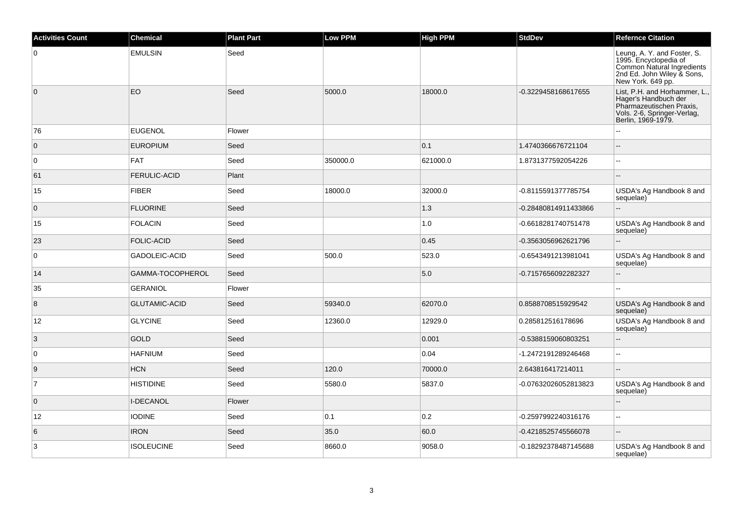| <b>Activities Count</b> | <b>Chemical</b>      | <b>Plant Part</b> | <b>Low PPM</b> | <b>High PPM</b> | <b>StdDev</b>        | <b>Refernce Citation</b>                                                                                                               |
|-------------------------|----------------------|-------------------|----------------|-----------------|----------------------|----------------------------------------------------------------------------------------------------------------------------------------|
| 0                       | <b>EMULSIN</b>       | Seed              |                |                 |                      | Leung, A. Y. and Foster, S.<br>1995. Encyclopedia of<br>Common Natural Ingredients<br>2nd Ed. John Wiley & Sons,<br>New York. 649 pp.  |
| $\overline{0}$          | EO                   | Seed              | 5000.0         | 18000.0         | -0.3229458168617655  | List, P.H. and Horhammer, L.,<br>Hager's Handbuch der<br>Pharmazeutischen Praxis,<br>Vols. 2-6, Springer-Verlag,<br>Berlin, 1969-1979. |
| 76                      | <b>EUGENOL</b>       | Flower            |                |                 |                      |                                                                                                                                        |
| $\mathbf 0$             | <b>EUROPIUM</b>      | Seed              |                | 0.1             | 1.4740366676721104   | $\overline{a}$                                                                                                                         |
| $\mathbf 0$             | <b>FAT</b>           | Seed              | 350000.0       | 621000.0        | 1.8731377592054226   | $\sim$                                                                                                                                 |
| 61                      | <b>FERULIC-ACID</b>  | Plant             |                |                 |                      |                                                                                                                                        |
| 15                      | <b>FIBER</b>         | Seed              | 18000.0        | 32000.0         | -0.8115591377785754  | USDA's Ag Handbook 8 and<br>sequelae)                                                                                                  |
| $\overline{0}$          | <b>FLUORINE</b>      | Seed              |                | 1.3             | -0.28480814911433866 | u.                                                                                                                                     |
| 15                      | <b>FOLACIN</b>       | Seed              |                | 1.0             | -0.6618281740751478  | USDA's Ag Handbook 8 and<br>sequelae)                                                                                                  |
| 23                      | <b>FOLIC-ACID</b>    | Seed              |                | 0.45            | -0.3563056962621796  | Ξ.                                                                                                                                     |
| 0                       | GADOLEIC-ACID        | Seed              | 500.0          | 523.0           | -0.6543491213981041  | USDA's Ag Handbook 8 and<br>sequelae)                                                                                                  |
| 14                      | GAMMA-TOCOPHEROL     | Seed              |                | 5.0             | -0.7157656092282327  | ă.                                                                                                                                     |
| 35                      | <b>GERANIOL</b>      | Flower            |                |                 |                      |                                                                                                                                        |
| 8                       | <b>GLUTAMIC-ACID</b> | Seed              | 59340.0        | 62070.0         | 0.8588708515929542   | USDA's Ag Handbook 8 and<br>sequelae)                                                                                                  |
| 12                      | <b>GLYCINE</b>       | Seed              | 12360.0        | 12929.0         | 0.285812516178696    | USDA's Ag Handbook 8 and<br>sequelae)                                                                                                  |
| $\overline{3}$          | <b>GOLD</b>          | Seed              |                | 0.001           | -0.5388159060803251  | $-$                                                                                                                                    |
| $\mathbf 0$             | <b>HAFNIUM</b>       | Seed              |                | 0.04            | -1.2472191289246468  | $\sim$ $\sim$                                                                                                                          |
| 9                       | <b>HCN</b>           | Seed              | 120.0          | 70000.0         | 2.643816417214011    | ÷.                                                                                                                                     |
| $\overline{7}$          | <b>HISTIDINE</b>     | Seed              | 5580.0         | 5837.0          | -0.07632026052813823 | USDA's Ag Handbook 8 and<br>sequelae)                                                                                                  |
| $\overline{0}$          | <b>I-DECANOL</b>     | Flower            |                |                 |                      | L.                                                                                                                                     |
| 12                      | <b>IODINE</b>        | Seed              | 0.1            | 0.2             | -0.2597992240316176  | $\sim$                                                                                                                                 |
| 6                       | <b>IRON</b>          | Seed              | 35.0           | 60.0            | -0.4218525745566078  | $\overline{\phantom{a}}$                                                                                                               |
| 3                       | <b>ISOLEUCINE</b>    | Seed              | 8660.0         | 9058.0          | -0.18292378487145688 | USDA's Ag Handbook 8 and<br>sequelae)                                                                                                  |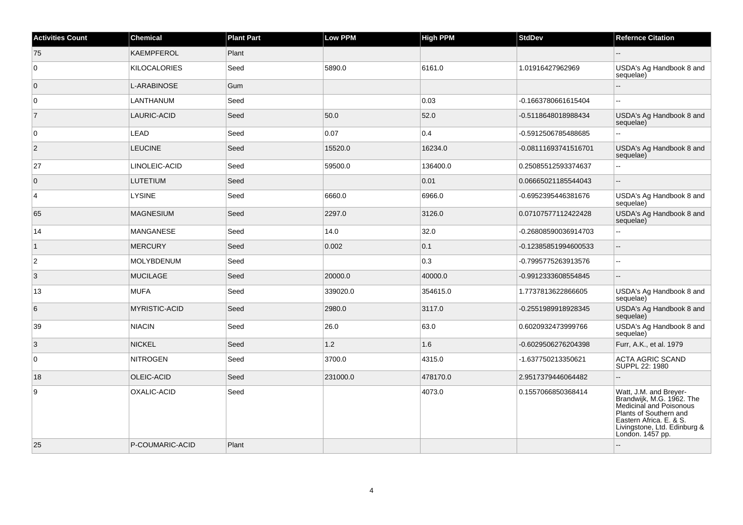| <b>Activities Count</b> | <b>Chemical</b>     | <b>Plant Part</b> | Low PPM  | <b>High PPM</b> | <b>StdDev</b>        | <b>Refernce Citation</b>                                                                                                                                                                |
|-------------------------|---------------------|-------------------|----------|-----------------|----------------------|-----------------------------------------------------------------------------------------------------------------------------------------------------------------------------------------|
| 75                      | <b>KAEMPFEROL</b>   | Plant             |          |                 |                      |                                                                                                                                                                                         |
| 0                       | <b>KILOCALORIES</b> | Seed              | 5890.0   | 6161.0          | 1.01916427962969     | USDA's Ag Handbook 8 and<br>sequelae)                                                                                                                                                   |
| $\mathbf 0$             | L-ARABINOSE         | Gum               |          |                 |                      |                                                                                                                                                                                         |
| $\mathbf 0$             | LANTHANUM           | Seed              |          | 0.03            | -0.1663780661615404  | $\sim$                                                                                                                                                                                  |
| $\overline{7}$          | LAURIC-ACID         | Seed              | 50.0     | 52.0            | -0.5118648018988434  | USDA's Ag Handbook 8 and<br>sequelae)                                                                                                                                                   |
| $\mathbf 0$             | LEAD                | Seed              | 0.07     | 0.4             | -0.5912506785488685  | $\sim$                                                                                                                                                                                  |
| 2                       | <b>LEUCINE</b>      | Seed              | 15520.0  | 16234.0         | -0.08111693741516701 | USDA's Ag Handbook 8 and<br>sequelae)                                                                                                                                                   |
| 27                      | LINOLEIC-ACID       | Seed              | 59500.0  | 136400.0        | 0.25085512593374637  | $\overline{a}$                                                                                                                                                                          |
| $\overline{0}$          | <b>LUTETIUM</b>     | Seed              |          | 0.01            | 0.06665021185544043  |                                                                                                                                                                                         |
| 4                       | <b>LYSINE</b>       | Seed              | 6660.0   | 6966.0          | -0.6952395446381676  | USDA's Ag Handbook 8 and<br>sequelae)                                                                                                                                                   |
| 65                      | <b>MAGNESIUM</b>    | Seed              | 2297.0   | 3126.0          | 0.07107577112422428  | USDA's Ag Handbook 8 and<br>sequelae)                                                                                                                                                   |
| 14                      | <b>MANGANESE</b>    | Seed              | 14.0     | 32.0            | -0.26808590036914703 | L.                                                                                                                                                                                      |
| $\mathbf{1}$            | <b>MERCURY</b>      | Seed              | 0.002    | 0.1             | -0.12385851994600533 | $\overline{\phantom{a}}$                                                                                                                                                                |
| 2                       | MOLYBDENUM          | Seed              |          | 0.3             | -0.7995775263913576  | $\sim$                                                                                                                                                                                  |
| 3                       | <b>MUCILAGE</b>     | Seed              | 20000.0  | 40000.0         | -0.9912333608554845  |                                                                                                                                                                                         |
| 13                      | <b>MUFA</b>         | Seed              | 339020.0 | 354615.0        | 1.7737813622866605   | USDA's Ag Handbook 8 and<br>sequelae)                                                                                                                                                   |
| 6                       | MYRISTIC-ACID       | Seed              | 2980.0   | 3117.0          | -0.2551989918928345  | USDA's Ag Handbook 8 and<br>sequelae)                                                                                                                                                   |
| 39                      | <b>NIACIN</b>       | Seed              | 26.0     | 63.0            | 0.6020932473999766   | USDA's Ag Handbook 8 and<br>sequelae)                                                                                                                                                   |
| 3                       | <b>NICKEL</b>       | Seed              | $1.2$    | 1.6             | -0.6029506276204398  | Furr, A.K., et al. 1979                                                                                                                                                                 |
| 0                       | <b>NITROGEN</b>     | Seed              | 3700.0   | 4315.0          | -1.637750213350621   | <b>ACTA AGRIC SCAND</b><br>SUPPL 22: 1980                                                                                                                                               |
| 18                      | OLEIC-ACID          | Seed              | 231000.0 | 478170.0        | 2.9517379446064482   |                                                                                                                                                                                         |
| 9                       | OXALIC-ACID         | Seed              |          | 4073.0          | 0.1557066850368414   | Watt, J.M. and Breyer-<br>Brandwijk, M.G. 1962. The<br>Medicinal and Poisonous<br>Plants of Southern and<br>Eastern Africa. E. & S.<br>Livingstone, Ltd. Edinburg &<br>London. 1457 pp. |
| 25                      | P-COUMARIC-ACID     | Plant             |          |                 |                      |                                                                                                                                                                                         |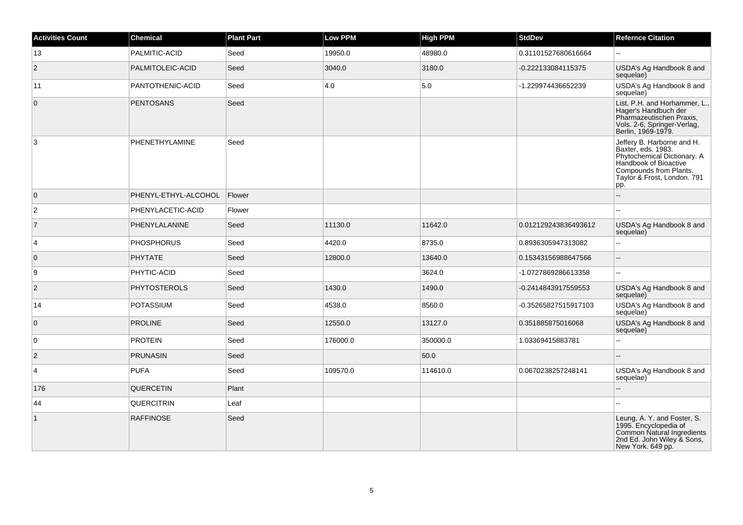| <b>Activities Count</b> | <b>Chemical</b>      | <b>Plant Part</b> | <b>Low PPM</b> | <b>High PPM</b> | <b>StdDev</b>        | <b>Refernce Citation</b>                                                                                                                                                 |
|-------------------------|----------------------|-------------------|----------------|-----------------|----------------------|--------------------------------------------------------------------------------------------------------------------------------------------------------------------------|
| 13                      | PALMITIC-ACID        | Seed              | 19950.0        | 48980.0         | 0.31101527680616664  |                                                                                                                                                                          |
| $\overline{2}$          | PALMITOLEIC-ACID     | Seed              | 3040.0         | 3180.0          | -0.222133084115375   | USDA's Ag Handbook 8 and<br>sequelae)                                                                                                                                    |
| 11                      | PANTOTHENIC-ACID     | Seed              | 4.0            | 5.0             | -1.229974436652239   | USDA's Ag Handbook 8 and<br>sequelae)                                                                                                                                    |
| $\overline{0}$          | <b>PENTOSANS</b>     | Seed              |                |                 |                      | List, P.H. and Horhammer, L.,<br>Hager's Handbuch der<br>Pharmazeutischen Praxis,<br>Vols. 2-6, Springer-Verlag,<br>Berlin, 1969-1979.                                   |
| 3                       | PHENETHYLAMINE       | Seed              |                |                 |                      | Jeffery B. Harborne and H.<br>Baxter, eds. 1983.<br>Phytochemical Dictionary. A<br>Handbook of Bioactive<br>Compounds from Plants.<br>Taylor & Frost, London. 791<br>pp. |
| $\overline{0}$          | PHENYL-ETHYL-ALCOHOL | Flower            |                |                 |                      |                                                                                                                                                                          |
| $\overline{2}$          | PHENYLACETIC-ACID    | Flower            |                |                 |                      |                                                                                                                                                                          |
| $\overline{7}$          | PHENYLALANINE        | Seed              | 11130.0        | 11642.0         | 0.012129243836493612 | USDA's Ag Handbook 8 and<br>sequelae)                                                                                                                                    |
| 4                       | <b>PHOSPHORUS</b>    | Seed              | 4420.0         | 8735.0          | 0.8936305947313082   | $\overline{a}$                                                                                                                                                           |
| $\mathbf 0$             | <b>PHYTATE</b>       | Seed              | 12800.0        | 13640.0         | 0.15343156988647566  | $\sim$                                                                                                                                                                   |
| 9                       | PHYTIC-ACID          | Seed              |                | 3624.0          | -1.0727869286613358  |                                                                                                                                                                          |
| $\overline{c}$          | <b>PHYTOSTEROLS</b>  | Seed              | 1430.0         | 1490.0          | -0.2414843917559553  | USDA's Ag Handbook 8 and<br>sequelae)                                                                                                                                    |
| 14                      | <b>POTASSIUM</b>     | Seed              | 4538.0         | 8560.0          | -0.35265827515917103 | USDA's Ag Handbook 8 and<br>sequelae)                                                                                                                                    |
| $\mathbf 0$             | <b>PROLINE</b>       | Seed              | 12550.0        | 13127.0         | 0.351885875016068    | USDA's Ag Handbook 8 and<br>sequelae)                                                                                                                                    |
| $\mathbf 0$             | <b>PROTEIN</b>       | Seed              | 176000.0       | 350000.0        | 1.03369415883781     | Ξ.                                                                                                                                                                       |
| $\sqrt{2}$              | <b>PRUNASIN</b>      | Seed              |                | 50.0            |                      |                                                                                                                                                                          |
| 4                       | <b>PUFA</b>          | Seed              | 109570.0       | 114610.0        | 0.0670238257248141   | USDA's Ag Handbook 8 and<br>sequelae)                                                                                                                                    |
| 176                     | QUERCETIN            | Plant             |                |                 |                      |                                                                                                                                                                          |
| 44                      | QUERCITRIN           | Leaf              |                |                 |                      |                                                                                                                                                                          |
| $\vert$ 1               | <b>RAFFINOSE</b>     | Seed              |                |                 |                      | Leung, A. Y. and Foster, S.<br>1995. Encyclopedia of<br>Common Natural Ingredients<br>2nd Ed. John Wiley & Sons,<br>New York. 649 pp.                                    |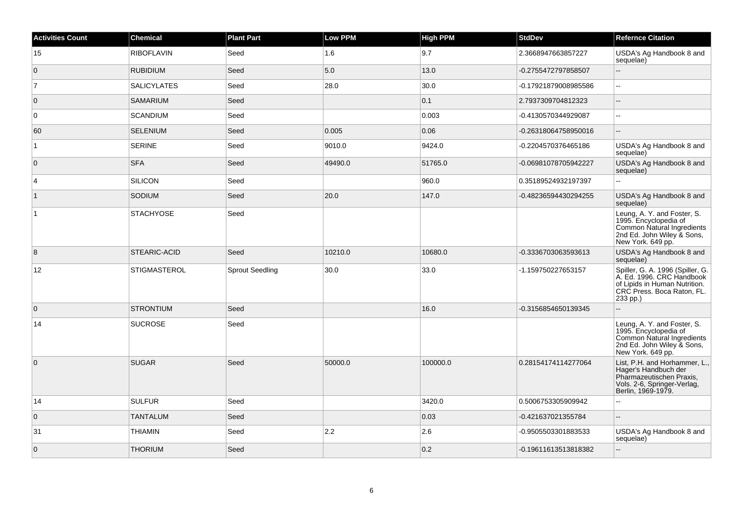| <b>Activities Count</b> | <b>Chemical</b>     | <b>Plant Part</b>      | <b>Low PPM</b> | <b>High PPM</b> | <b>StdDev</b>        | <b>Refernce Citation</b>                                                                                                                 |
|-------------------------|---------------------|------------------------|----------------|-----------------|----------------------|------------------------------------------------------------------------------------------------------------------------------------------|
| 15                      | <b>RIBOFLAVIN</b>   | Seed                   | 1.6            | 9.7             | 2.3668947663857227   | USDA's Ag Handbook 8 and<br>sequelae)                                                                                                    |
| $\overline{0}$          | <b>RUBIDIUM</b>     | Seed                   | 5.0            | 13.0            | -0.2755472797858507  | $\overline{\phantom{a}}$                                                                                                                 |
| 7                       | <b>SALICYLATES</b>  | Seed                   | 28.0           | 30.0            | -0.17921879008985586 | $\ddotsc$                                                                                                                                |
| $\overline{0}$          | <b>SAMARIUM</b>     | Seed                   |                | 0.1             | 2.7937309704812323   | $\overline{\phantom{a}}$                                                                                                                 |
| $\overline{0}$          | <b>SCANDIUM</b>     | Seed                   |                | 0.003           | -0.4130570344929087  | $\mathbf{u}$                                                                                                                             |
| 60                      | <b>SELENIUM</b>     | Seed                   | 0.005          | 0.06            | -0.26318064758950016 | $\overline{a}$                                                                                                                           |
| $\overline{1}$          | <b>SERINE</b>       | Seed                   | 9010.0         | 9424.0          | -0.2204570376465186  | USDA's Ag Handbook 8 and<br>sequelae)                                                                                                    |
| $\overline{0}$          | <b>SFA</b>          | Seed                   | 49490.0        | 51765.0         | -0.06981078705942227 | USDA's Ag Handbook 8 and<br>sequelae)                                                                                                    |
| $\overline{4}$          | <b>SILICON</b>      | Seed                   |                | 960.0           | 0.35189524932197397  | $\mathbf{L}$                                                                                                                             |
| $\vert$ 1               | SODIUM              | Seed                   | 20.0           | 147.0           | -0.48236594430294255 | USDA's Ag Handbook 8 and<br>sequelae)                                                                                                    |
| $\vert$ 1               | <b>STACHYOSE</b>    | Seed                   |                |                 |                      | Leung, A. Y. and Foster, S.<br>1995. Encyclopedia of<br>Common Natural Ingredients<br>2nd Ed. John Wiley & Sons,<br>New York. 649 pp.    |
| $\boldsymbol{8}$        | STEARIC-ACID        | Seed                   | 10210.0        | 10680.0         | -0.3336703063593613  | USDA's Ag Handbook 8 and<br>sequelae)                                                                                                    |
| 12                      | <b>STIGMASTEROL</b> | <b>Sprout Seedling</b> | 30.0           | 33.0            | -1.159750227653157   | Spiller, G. A. 1996 (Spiller, G.<br>A. Ed. 1996. CRC Handbook<br>of Lipids in Human Nutrition.<br>CRC Press. Boca Raton, FL.<br>233 pp.) |
| $\overline{0}$          | <b>STRONTIUM</b>    | Seed                   |                | 16.0            | -0.3156854650139345  | $\overline{a}$                                                                                                                           |
| 14                      | <b>SUCROSE</b>      | Seed                   |                |                 |                      | Leung, A. Y. and Foster, S.<br>1995. Encyclopedia of<br>Common Natural Ingredients<br>2nd Ed. John Wiley & Sons,<br>New York. 649 pp.    |
| $\overline{0}$          | <b>SUGAR</b>        | Seed                   | 50000.0        | 100000.0        | 0.28154174114277064  | List, P.H. and Horhammer, L.,<br>Hager's Handbuch der<br>Pharmazeutischen Praxis,<br>Vols. 2-6, Springer-Verlag,<br>Berlin, 1969-1979.   |
| 14                      | <b>SULFUR</b>       | Seed                   |                | 3420.0          | 0.5006753305909942   | $\overline{a}$                                                                                                                           |
| $\overline{0}$          | <b>TANTALUM</b>     | Seed                   |                | 0.03            | -0.421637021355784   | $\overline{\phantom{a}}$                                                                                                                 |
| 31                      | THIAMIN             | Seed                   | 2.2            | 2.6             | -0.9505503301883533  | USDA's Ag Handbook 8 and<br>sequelae)                                                                                                    |
| $\overline{0}$          | <b>THORIUM</b>      | Seed                   |                | 0.2             | -0.19611613513818382 | $\overline{\phantom{a}}$                                                                                                                 |